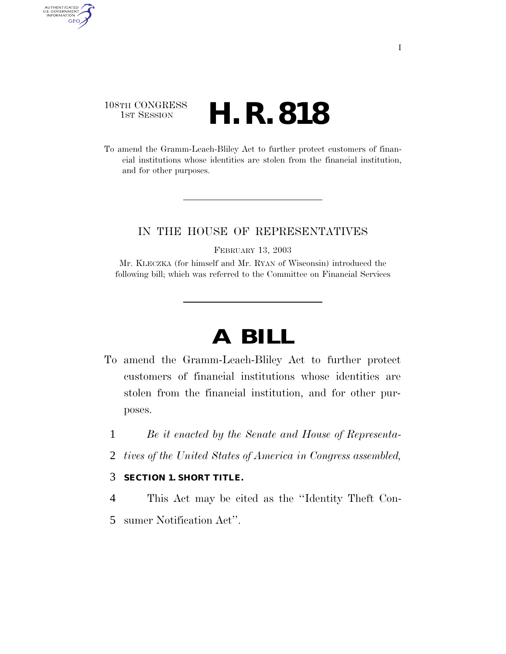### 108TH CONGRESS <sup>TH CONGRESS</sup> **H. R. 818**

AUTHENTICATED<br>U.S. GOVERNMENT<br>INFORMATION GPO

> To amend the Gramm-Leach-Bliley Act to further protect customers of financial institutions whose identities are stolen from the financial institution, and for other purposes.

### IN THE HOUSE OF REPRESENTATIVES

FEBRUARY 13, 2003

Mr. KLECZKA (for himself and Mr. RYAN of Wisconsin) introduced the following bill; which was referred to the Committee on Financial Services

# **A BILL**

- To amend the Gramm-Leach-Bliley Act to further protect customers of financial institutions whose identities are stolen from the financial institution, and for other purposes.
	- 1 *Be it enacted by the Senate and House of Representa-*
	- 2 *tives of the United States of America in Congress assembled,*

#### 3 **SECTION 1. SHORT TITLE.**

4 This Act may be cited as the ''Identity Theft Con-5 sumer Notification Act''.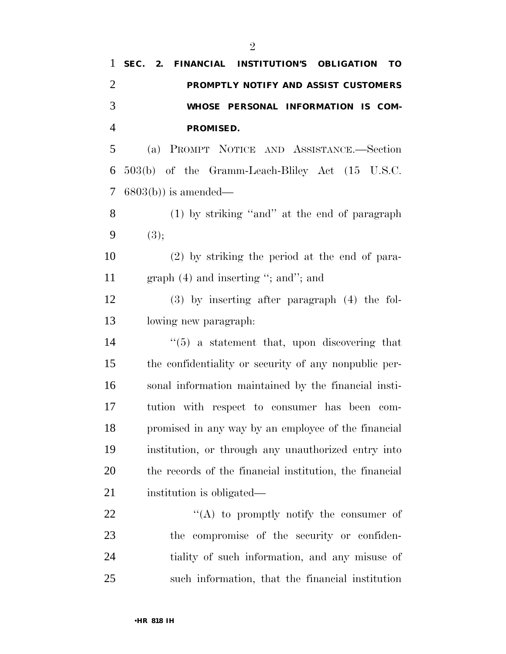| $\mathbf{1}$   | SEC. 2.<br>FINANCIAL INSTITUTION'S OBLIGATION<br><b>TO</b> |
|----------------|------------------------------------------------------------|
| $\overline{2}$ | PROMPTLY NOTIFY AND ASSIST CUSTOMERS                       |
| 3              | WHOSE PERSONAL INFORMATION IS COM-                         |
| $\overline{4}$ | PROMISED.                                                  |
| 5              | (a) PROMPT NOTICE AND ASSISTANCE.-Section                  |
| 6              | 503(b) of the Gramm-Leach-Bliley Act (15 U.S.C.            |
| 7              | $6803(b)$ is amended—                                      |
| 8              | (1) by striking "and" at the end of paragraph              |
| 9              | (3);                                                       |
| 10             | $(2)$ by striking the period at the end of para-           |
| 11             | graph $(4)$ and inserting "; and"; and                     |
| 12             | $(3)$ by inserting after paragraph $(4)$ the fol-          |
| 13             | lowing new paragraph:                                      |
| 14             | $\lq(5)$ a statement that, upon discovering that           |
| 15             | the confidentiality or security of any nonpublic per-      |
| 16             | sonal information maintained by the financial insti-       |
| 17             | tution with respect to consumer has been<br>$com-$         |
| 18             | promised in any way by an employee of the financial        |
| 19             | institution, or through any unauthorized entry into        |
| 20             | the records of the financial institution, the financial    |
| 21             | institution is obligated—                                  |
| 22             | "(A) to promptly notify the consumer of                    |
| 23             | the compromise of the security or confiden-                |
| 24             | tiality of such information, and any misuse of             |
| 25             | such information, that the financial institution           |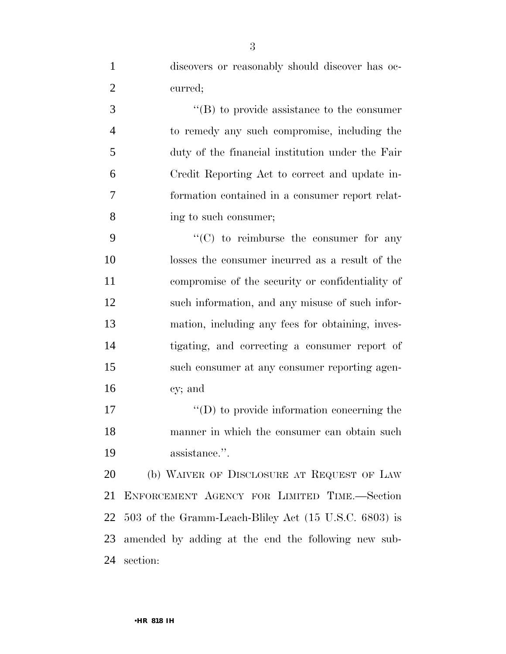discovers or reasonably should discover has oc-curred;

 $\langle$  (B) to provide assistance to the consumer to remedy any such compromise, including the duty of the financial institution under the Fair Credit Reporting Act to correct and update in- formation contained in a consumer report relat-ing to such consumer;

 ''(C) to reimburse the consumer for any losses the consumer incurred as a result of the compromise of the security or confidentiality of such information, and any misuse of such infor- mation, including any fees for obtaining, inves- tigating, and correcting a consumer report of such consumer at any consumer reporting agen-cy; and

17  $\langle \text{`}(D) \rangle$  to provide information concerning the manner in which the consumer can obtain such assistance.''.

 (b) WAIVER OF DISCLOSURE AT REQUEST OF LAW ENFORCEMENT AGENCY FOR LIMITED TIME.—Section 503 of the Gramm-Leach-Bliley Act (15 U.S.C. 6803) is amended by adding at the end the following new sub-section: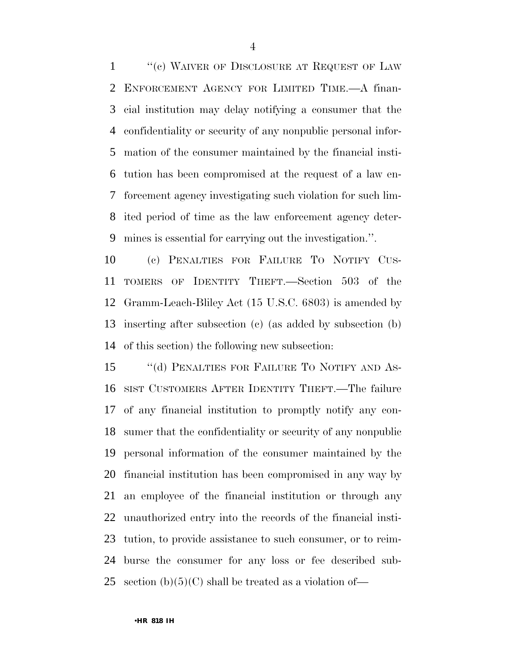1 "(c) WAIVER OF DISCLOSURE AT REQUEST OF LAW ENFORCEMENT AGENCY FOR LIMITED TIME.—A finan- cial institution may delay notifying a consumer that the confidentiality or security of any nonpublic personal infor- mation of the consumer maintained by the financial insti- tution has been compromised at the request of a law en- forcement agency investigating such violation for such lim- ited period of time as the law enforcement agency deter-mines is essential for carrying out the investigation.''.

 (c) PENALTIES FOR FAILURE TO NOTIFY CUS- TOMERS OF IDENTITY THEFT.—Section 503 of the Gramm-Leach-Bliley Act (15 U.S.C. 6803) is amended by inserting after subsection (c) (as added by subsection (b) of this section) the following new subsection:

15 "(d) PENALTIES FOR FAILURE TO NOTIFY AND AS- SIST CUSTOMERS AFTER IDENTITY THEFT.—The failure of any financial institution to promptly notify any con- sumer that the confidentiality or security of any nonpublic personal information of the consumer maintained by the financial institution has been compromised in any way by an employee of the financial institution or through any unauthorized entry into the records of the financial insti- tution, to provide assistance to such consumer, or to reim- burse the consumer for any loss or fee described sub-25 section  $(b)(5)(C)$  shall be treated as a violation of-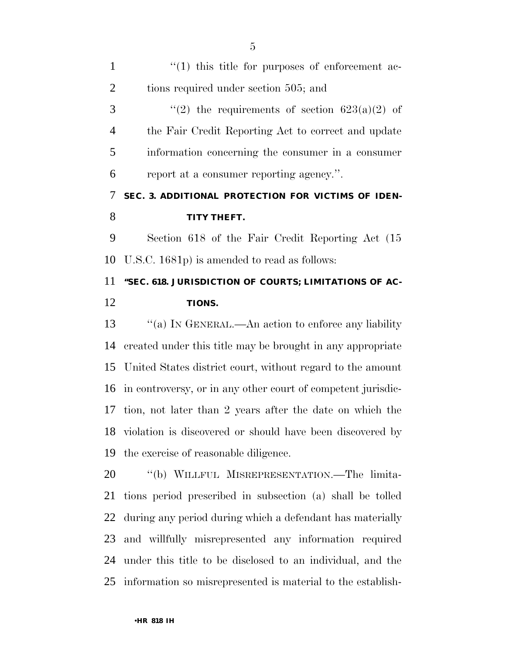| $\mathbf{1}$   | $\lq(1)$ this title for purposes of enforcement ac-          |
|----------------|--------------------------------------------------------------|
| $\overline{2}$ | tions required under section 505; and                        |
| 3              | "(2) the requirements of section $623(a)(2)$ of              |
| $\overline{4}$ | the Fair Credit Reporting Act to correct and update          |
| 5              | information concerning the consumer in a consumer            |
| 6              | report at a consumer reporting agency.".                     |
| 7              | SEC. 3. ADDITIONAL PROTECTION FOR VICTIMS OF IDEN-           |
| 8              | TITY THEFT.                                                  |
| 9              | Section 618 of the Fair Credit Reporting Act (15)            |
| 10             | U.S.C. 1681p) is amended to read as follows:                 |
| 11             | "SEC. 618. JURISDICTION OF COURTS; LIMITATIONS OF AC-        |
| 12             | <b>TIONS.</b>                                                |
| 13             | "(a) IN GENERAL.—An action to enforce any liability          |
| 14             | created under this title may be brought in any appropriate   |
| 15             | United States district court, without regard to the amount   |
| 16             | in controversy, or in any other court of competent jurisdic- |
|                |                                                              |

 tion, not later than 2 years after the date on which the violation is discovered or should have been discovered by the exercise of reasonable diligence.

 ''(b) WILLFUL MISREPRESENTATION.—The limita- tions period prescribed in subsection (a) shall be tolled during any period during which a defendant has materially and willfully misrepresented any information required under this title to be disclosed to an individual, and the information so misrepresented is material to the establish-